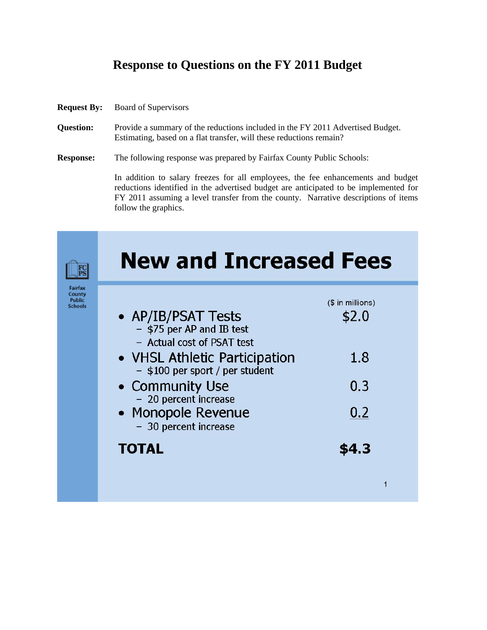## **Response to Questions on the FY 2011 Budget**

- **Request By:** Board of Supervisors
- **Question:** Provide a summary of the reductions included in the FY 2011 Advertised Budget. Estimating, based on a flat transfer, will these reductions remain?
- **Response:** The following response was prepared by Fairfax County Public Schools:

In addition to salary freezes for all employees, the fee enhancements and budget reductions identified in the advertised budget are anticipated to be implemented for FY 2011 assuming a level transfer from the county. Narrative descriptions of items follow the graphics.

|                                                      | <b>New and Increased Fees</b>                                                                  |                           |
|------------------------------------------------------|------------------------------------------------------------------------------------------------|---------------------------|
| Fairfax<br>County<br><b>Public</b><br><b>Schools</b> | • AP/IB/PSAT Tests<br>- \$75 per AP and IB test                                                | (\$ in millions)<br>\$2.0 |
|                                                      | - Actual cost of PSAT test<br>• VHSL Athletic Participation<br>- \$100 per sport / per student | 1.8                       |
|                                                      | • Community Use<br>- 20 percent increase                                                       | 0.3                       |
|                                                      | • Monopole Revenue<br>- 30 percent increase                                                    | 0.2                       |
|                                                      | <b>TOTAL</b>                                                                                   | \$4.3                     |
|                                                      |                                                                                                |                           |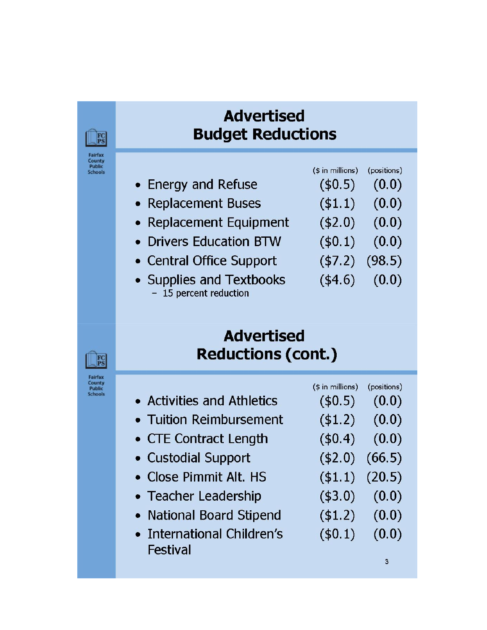# **Advertised Budget Reductions**

Fairfax County<br>Public<br>Schools

 $F_S$ 

- Energy and Refuse
- Replacement Buses
- Replacement Equipment
- Drivers Education BTW
- Central Office Support
- Supplies and Textbooks - 15 percent reduction
- $($$  in millions) (positions)
	- $($0.5)$  $(0.0)$
	- $($ \$1.1)  $(0.0)$
	- $($2.0)$   $(0.0)$
	- $($0.1)$   $(0.0)$
	- $(47.2)$   $(98.5)$ 
		-
	- $(4.6)$  $(0.0)$

## **Advertised Reductions (cont.)**

Fairfax<br>County<br>Public<br>Schools

 $F_S$ 

|                            | $($$ in millions)   | (positions) |
|----------------------------|---------------------|-------------|
| • Activities and Athletics | $($ \$0.5)          | (0.0)       |
| • Tuition Reimbursement    | $($ \$1.2)          | (0.0)       |
| • CTE Contract Length      | $($ \$0.4)          | (0.0)       |
| • Custodial Support        | $(42.0)$ $(66.5)$   |             |
| • Close Pimmit Alt. HS     | $($ \$1.1) $(20.5)$ |             |
| • Teacher Leadership       | $($ \$3.0)          | (0.0)       |
| • National Board Stipend   | $($ \$1.2)          | (0.0)       |
| • International Children's | $($ \$0.1)          | (0.0)       |
| Festival                   |                     |             |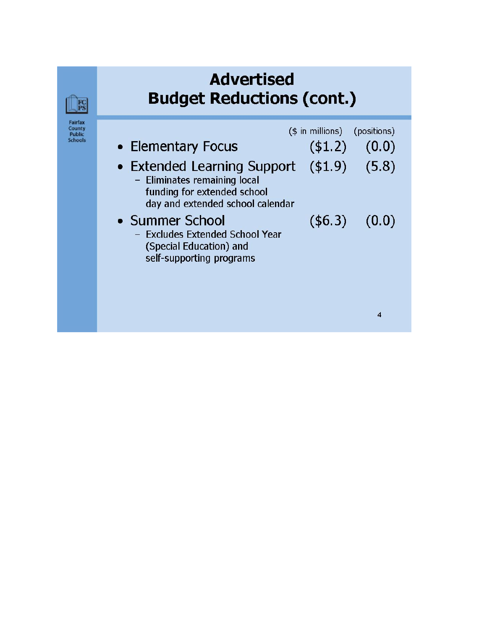# **Advertised Budget Reductions (cont.)**

Fairfax<br>County<br>Public<br>Schools

FC

|                                                                                                                                                | $($ in$ millions) (positions) |                    |
|------------------------------------------------------------------------------------------------------------------------------------------------|-------------------------------|--------------------|
| • Elementary Focus                                                                                                                             | (\$1.2)                       | (0.0)              |
| • Extended Learning Support $(1.9)$ $(5.8)$<br>- Eliminates remaining local<br>funding for extended school<br>day and extended school calendar |                               |                    |
| • Summer School<br>- Excludes Extended School Year<br>(Special Education) and<br>self-supporting programs                                      |                               | $($ \$6.3) $(0.0)$ |

 $\overline{\mathbf{4}}$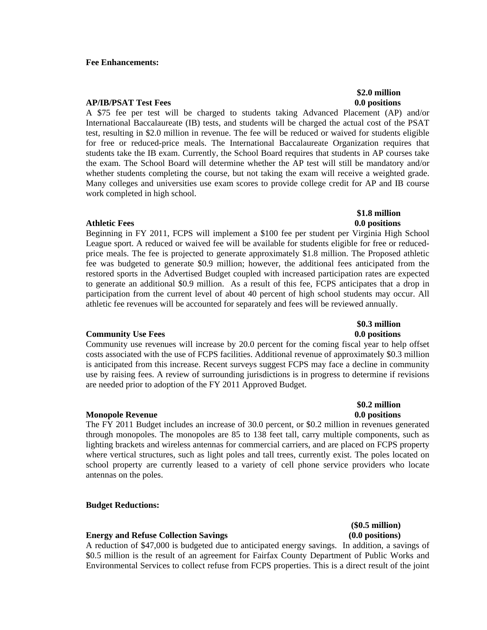### **Fee Enhancements:**

### **AP/IB/PSAT Test Fees 0.0 positions**

A \$75 fee per test will be charged to students taking Advanced Placement (AP) and/or International Baccalaureate (IB) tests, and students will be charged the actual cost of the PSAT test, resulting in \$2.0 million in revenue. The fee will be reduced or waived for students eligible for free or reduced-price meals. The International Baccalaureate Organization requires that students take the IB exam. Currently, the School Board requires that students in AP courses take the exam. The School Board will determine whether the AP test will still be mandatory and/or whether students completing the course, but not taking the exam will receive a weighted grade. Many colleges and universities use exam scores to provide college credit for AP and IB course work completed in high school.

### Athletic Fees 0.0 positions **and a set of the set of the set of the set of the set of the set of the set of the set of the set of the set of the set of the set of the set of the set of the set of the set of the set of the**

Beginning in FY 2011, FCPS will implement a \$100 fee per student per Virginia High School League sport. A reduced or waived fee will be available for students eligible for free or reducedprice meals. The fee is projected to generate approximately \$1.8 million. The Proposed athletic fee was budgeted to generate \$0.9 million; however, the additional fees anticipated from the restored sports in the Advertised Budget coupled with increased participation rates are expected to generate an additional \$0.9 million. As a result of this fee, FCPS anticipates that a drop in participation from the current level of about 40 percent of high school students may occur. All athletic fee revenues will be accounted for separately and fees will be reviewed annually.

### **Community Use Fees 6.0 positions** 6.0 positions 6.0 positions

Community use revenues will increase by 20.0 percent for the coming fiscal year to help offset costs associated with the use of FCPS facilities. Additional revenue of approximately \$0.3 million is anticipated from this increase. Recent surveys suggest FCPS may face a decline in community use by raising fees. A review of surrounding jurisdictions is in progress to determine if revisions are needed prior to adoption of the FY 2011 Approved Budget.

### **Monopole Revenue 0.0 positions 0.0 positions**

The FY 2011 Budget includes an increase of 30.0 percent, or \$0.2 million in revenues generated through monopoles. The monopoles are 85 to 138 feet tall, carry multiple components, such as lighting brackets and wireless antennas for commercial carriers, and are placed on FCPS property where vertical structures, such as light poles and tall trees, currently exist. The poles located on school property are currently leased to a variety of cell phone service providers who locate antennas on the poles.

### **Budget Reductions:**

### **Energy and Refuse Collection Savings (0.0 positions)**

A reduction of \$47,000 is budgeted due to anticipated energy savings. In addition, a savings of \$0.5 million is the result of an agreement for Fairfax County Department of Public Works and Environmental Services to collect refuse from FCPS properties. This is a direct result of the joint

# **\$2.0 million**

# **\$0.3 million**

 **\$1.8 million** 

## **\$0.2 million**

# **(\$0.5 million)**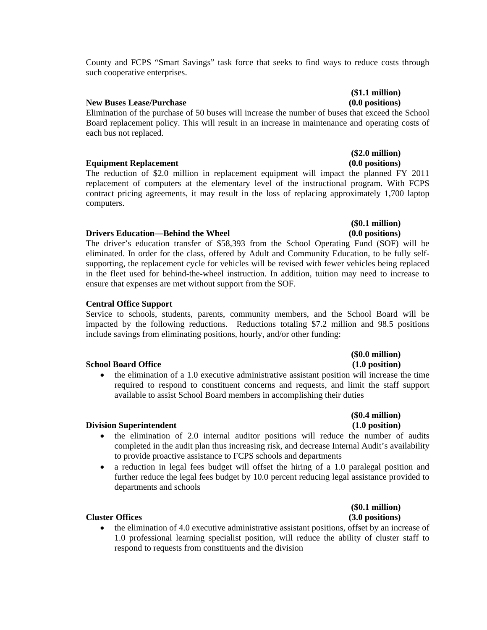County and FCPS "Smart Savings" task force that seeks to find ways to reduce costs through such cooperative enterprises.

### **New Buses Lease/Purchase (0.0 positions)**

Elimination of the purchase of 50 buses will increase the number of buses that exceed the School Board replacement policy. This will result in an increase in maintenance and operating costs of each bus not replaced.

### **Equipment Replacement (0.0 positions)**

The reduction of \$2.0 million in replacement equipment will impact the planned FY 2011 replacement of computers at the elementary level of the instructional program. With FCPS contract pricing agreements, it may result in the loss of replacing approximately 1,700 laptop computers.

### **Drivers Education—Behind the Wheel (0.0 positions)**

The driver's education transfer of \$58,393 from the School Operating Fund (SOF) will be eliminated. In order for the class, offered by Adult and Community Education, to be fully selfsupporting, the replacement cycle for vehicles will be revised with fewer vehicles being replaced in the fleet used for behind-the-wheel instruction. In addition, tuition may need to increase to ensure that expenses are met without support from the SOF.

### **Central Office Support**

Service to schools, students, parents, community members, and the School Board will be impacted by the following reductions. Reductions totaling \$7.2 million and 98.5 positions include savings from eliminating positions, hourly, and/or other funding:

### **School Board Office** (1.0 position) **(1.0 position)**

• the elimination of a 1.0 executive administrative assistant position will increase the time required to respond to constituent concerns and requests, and limit the staff support available to assist School Board members in accomplishing their duties

# **(\$0.4 million)**

### **Division Superintendent** (1.0 position) **(1.0 position)**

- the elimination of 2.0 internal auditor positions will reduce the number of audits completed in the audit plan thus increasing risk, and decrease Internal Audit's availability to provide proactive assistance to FCPS schools and departments
- a reduction in legal fees budget will offset the hiring of a 1.0 paralegal position and further reduce the legal fees budget by 10.0 percent reducing legal assistance provided to departments and schools

# **(\$0.1 million)**

### **Cluster Offices (3.0 positions)**

• the elimination of 4.0 executive administrative assistant positions, offset by an increase of 1.0 professional learning specialist position, will reduce the ability of cluster staff to respond to requests from constituents and the division

# **(\$1.1 million)**

**(\$2.0 million)** 

# **(\$0.1 million)**

## **(\$0.0 million)**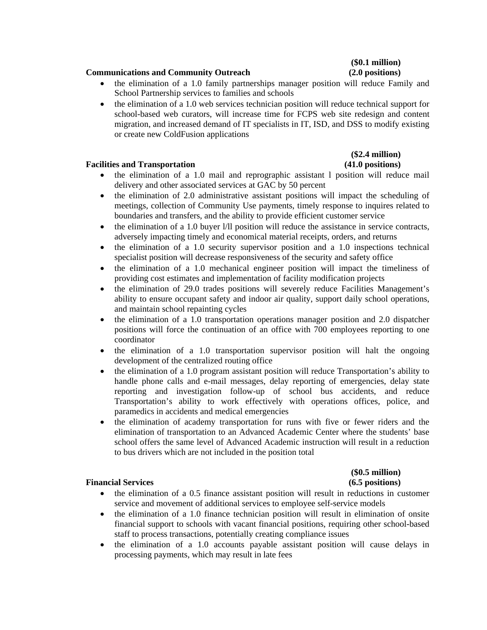### **Communications and Community Outreach (2.0 positions)**

- the elimination of a 1.0 family partnerships manager position will reduce Family and School Partnership services to families and schools
- the elimination of a 1.0 web services technician position will reduce technical support for school-based web curators, will increase time for FCPS web site redesign and content migration, and increased demand of IT specialists in IT, ISD, and DSS to modify existing or create new ColdFusion applications

### **Facilities and Transportation (41.0 positions)**

# **(\$2.4 million)**

- the elimination of a 1.0 mail and reprographic assistant l position will reduce mail delivery and other associated services at GAC by 50 percent
- the elimination of 2.0 administrative assistant positions will impact the scheduling of meetings, collection of Community Use payments, timely response to inquires related to boundaries and transfers, and the ability to provide efficient customer service
- the elimination of a 1.0 buyer  $1/11$  position will reduce the assistance in service contracts, adversely impacting timely and economical material receipts, orders, and returns
- the elimination of a 1.0 security supervisor position and a 1.0 inspections technical specialist position will decrease responsiveness of the security and safety office
- the elimination of a 1.0 mechanical engineer position will impact the timeliness of providing cost estimates and implementation of facility modification projects
- the elimination of 29.0 trades positions will severely reduce Facilities Management's ability to ensure occupant safety and indoor air quality, support daily school operations, and maintain school repainting cycles
- the elimination of a 1.0 transportation operations manager position and 2.0 dispatcher positions will force the continuation of an office with 700 employees reporting to one coordinator
- the elimination of a 1.0 transportation supervisor position will halt the ongoing development of the centralized routing office
- the elimination of a 1.0 program assistant position will reduce Transportation's ability to handle phone calls and e-mail messages, delay reporting of emergencies, delay state reporting and investigation follow-up of school bus accidents, and reduce Transportation's ability to work effectively with operations offices, police, and paramedics in accidents and medical emergencies
- the elimination of academy transportation for runs with five or fewer riders and the elimination of transportation to an Advanced Academic Center where the students' base school offers the same level of Advanced Academic instruction will result in a reduction to bus drivers which are not included in the position total

### Financial Services (6.5 positions)

- the elimination of a 0.5 finance assistant position will result in reductions in customer service and movement of additional services to employee self-service models
- the elimination of a 1.0 finance technician position will result in elimination of onsite financial support to schools with vacant financial positions, requiring other school-based staff to process transactions, potentially creating compliance issues
- the elimination of a 1.0 accounts payable assistant position will cause delays in processing payments, which may result in late fees

# **(\$0.1 million)**

# **(\$0.5 million)**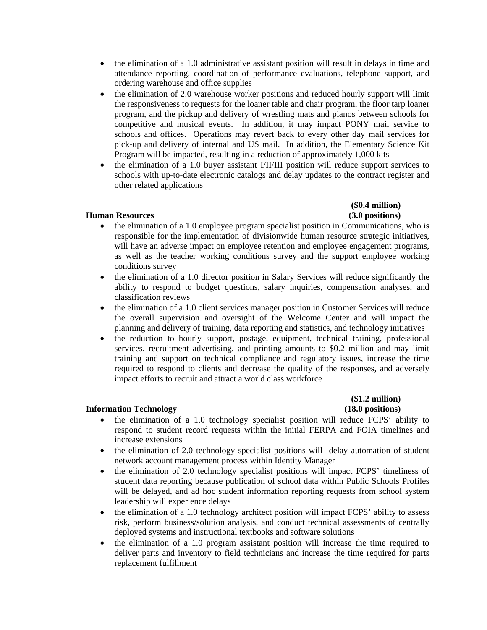- the elimination of a 1.0 administrative assistant position will result in delays in time and attendance reporting, coordination of performance evaluations, telephone support, and ordering warehouse and office supplies
- the elimination of 2.0 warehouse worker positions and reduced hourly support will limit the responsiveness to requests for the loaner table and chair program, the floor tarp loaner program, and the pickup and delivery of wrestling mats and pianos between schools for competitive and musical events. In addition, it may impact PONY mail service to schools and offices. Operations may revert back to every other day mail services for pick-up and delivery of internal and US mail. In addition, the Elementary Science Kit Program will be impacted, resulting in a reduction of approximately 1,000 kits
- the elimination of a 1.0 buyer assistant I/II/III position will reduce support services to schools with up-to-date electronic catalogs and delay updates to the contract register and other related applications

### **Human Resources (3.0 positions)**

# **(\$0.4 million)**

- the elimination of a 1.0 employee program specialist position in Communications, who is responsible for the implementation of divisionwide human resource strategic initiatives, will have an adverse impact on employee retention and employee engagement programs, as well as the teacher working conditions survey and the support employee working conditions survey
- the elimination of a 1.0 director position in Salary Services will reduce significantly the ability to respond to budget questions, salary inquiries, compensation analyses, and classification reviews
- the elimination of a 1.0 client services manager position in Customer Services will reduce the overall supervision and oversight of the Welcome Center and will impact the planning and delivery of training, data reporting and statistics, and technology initiatives
- the reduction to hourly support, postage, equipment, technical training, professional services, recruitment advertising, and printing amounts to \$0.2 million and may limit training and support on technical compliance and regulatory issues, increase the time required to respond to clients and decrease the quality of the responses, and adversely impact efforts to recruit and attract a world class workforce

### **Information Technology (18.0 positions)**

# **(\$1.2 million)**

- the elimination of a 1.0 technology specialist position will reduce FCPS' ability to respond to student record requests within the initial FERPA and FOIA timelines and increase extensions
- the elimination of 2.0 technology specialist positions will delay automation of student network account management process within Identity Manager
- the elimination of 2.0 technology specialist positions will impact FCPS' timeliness of student data reporting because publication of school data within Public Schools Profiles will be delayed, and ad hoc student information reporting requests from school system leadership will experience delays
- the elimination of a 1.0 technology architect position will impact FCPS' ability to assess risk, perform business/solution analysis, and conduct technical assessments of centrally deployed systems and instructional textbooks and software solutions
- the elimination of a 1.0 program assistant position will increase the time required to deliver parts and inventory to field technicians and increase the time required for parts replacement fulfillment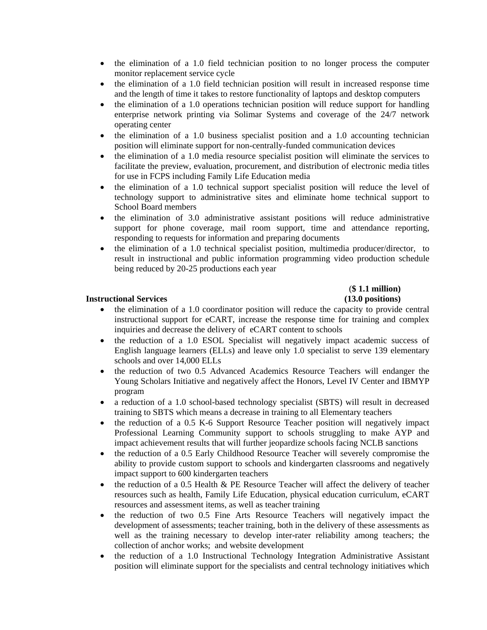- the elimination of a 1.0 field technician position to no longer process the computer monitor replacement service cycle
- the elimination of a 1.0 field technician position will result in increased response time and the length of time it takes to restore functionality of laptops and desktop computers
- the elimination of a 1.0 operations technician position will reduce support for handling enterprise network printing via Solimar Systems and coverage of the 24/7 network operating center
- the elimination of a 1.0 business specialist position and a 1.0 accounting technician position will eliminate support for non-centrally-funded communication devices
- the elimination of a 1.0 media resource specialist position will eliminate the services to facilitate the preview, evaluation, procurement, and distribution of electronic media titles for use in FCPS including Family Life Education media
- the elimination of a 1.0 technical support specialist position will reduce the level of technology support to administrative sites and eliminate home technical support to School Board members
- the elimination of 3.0 administrative assistant positions will reduce administrative support for phone coverage, mail room support, time and attendance reporting, responding to requests for information and preparing documents
- the elimination of a 1.0 technical specialist position, multimedia producer/director, to result in instructional and public information programming video production schedule being reduced by 20-25 productions each year

# (**\$ 1.1 million)**

### **Instructional Services (13.0 positions)**

- the elimination of a 1.0 coordinator position will reduce the capacity to provide central instructional support for eCART, increase the response time for training and complex inquiries and decrease the delivery of eCART content to schools
- the reduction of a 1.0 ESOL Specialist will negatively impact academic success of English language learners (ELLs) and leave only 1.0 specialist to serve 139 elementary schools and over 14,000 ELLs
- the reduction of two 0.5 Advanced Academics Resource Teachers will endanger the Young Scholars Initiative and negatively affect the Honors, Level IV Center and IBMYP program
- a reduction of a 1.0 school-based technology specialist (SBTS) will result in decreased training to SBTS which means a decrease in training to all Elementary teachers
- the reduction of a 0.5 K-6 Support Resource Teacher position will negatively impact Professional Learning Community support to schools struggling to make AYP and impact achievement results that will further jeopardize schools facing NCLB sanctions
- the reduction of a 0.5 Early Childhood Resource Teacher will severely compromise the ability to provide custom support to schools and kindergarten classrooms and negatively impact support to 600 kindergarten teachers
- the reduction of a 0.5 Health & PE Resource Teacher will affect the delivery of teacher resources such as health, Family Life Education, physical education curriculum, eCART resources and assessment items, as well as teacher training
- the reduction of two 0.5 Fine Arts Resource Teachers will negatively impact the development of assessments; teacher training, both in the delivery of these assessments as well as the training necessary to develop inter-rater reliability among teachers; the collection of anchor works; and website development
- the reduction of a 1.0 Instructional Technology Integration Administrative Assistant position will eliminate support for the specialists and central technology initiatives which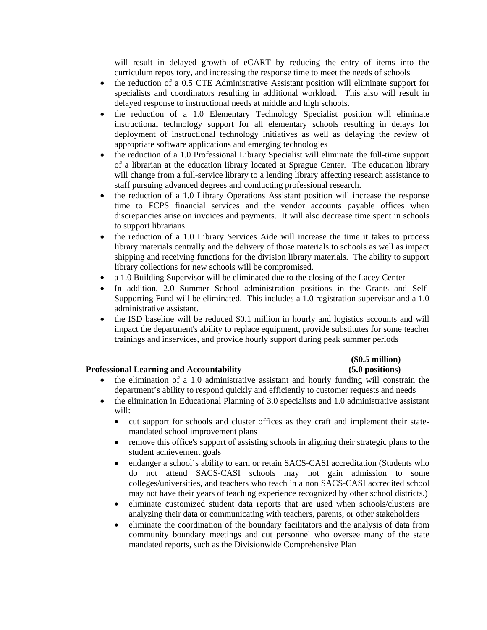will result in delayed growth of eCART by reducing the entry of items into the curriculum repository, and increasing the response time to meet the needs of schools

- the reduction of a 0.5 CTE Administrative Assistant position will eliminate support for specialists and coordinators resulting in additional workload. This also will result in delayed response to instructional needs at middle and high schools.
- the reduction of a 1.0 Elementary Technology Specialist position will eliminate instructional technology support for all elementary schools resulting in delays for deployment of instructional technology initiatives as well as delaying the review of appropriate software applications and emerging technologies
- the reduction of a 1.0 Professional Library Specialist will eliminate the full-time support of a librarian at the education library located at Sprague Center. The education library will change from a full-service library to a lending library affecting research assistance to staff pursuing advanced degrees and conducting professional research.
- the reduction of a 1.0 Library Operations Assistant position will increase the response time to FCPS financial services and the vendor accounts payable offices when discrepancies arise on invoices and payments. It will also decrease time spent in schools to support librarians.
- the reduction of a 1.0 Library Services Aide will increase the time it takes to process library materials centrally and the delivery of those materials to schools as well as impact shipping and receiving functions for the division library materials. The ability to support library collections for new schools will be compromised.
- a 1.0 Building Supervisor will be eliminated due to the closing of the Lacey Center
- In addition, 2.0 Summer School administration positions in the Grants and Self-Supporting Fund will be eliminated. This includes a 1.0 registration supervisor and a 1.0 administrative assistant.
- the ISD baseline will be reduced \$0.1 million in hourly and logistics accounts and will impact the department's ability to replace equipment, provide substitutes for some teacher trainings and inservices, and provide hourly support during peak summer periods

# **(\$0.5 million)**

### **Professional Learning and Accountability (5.0 positions)**

- the elimination of a 1.0 administrative assistant and hourly funding will constrain the department's ability to respond quickly and efficiently to customer requests and needs
- the elimination in Educational Planning of 3.0 specialists and 1.0 administrative assistant will:
	- cut support for schools and cluster offices as they craft and implement their statemandated school improvement plans
	- remove this office's support of assisting schools in aligning their strategic plans to the student achievement goals
	- endanger a school's ability to earn or retain SACS-CASI accreditation (Students who do not attend SACS-CASI schools may not gain admission to some colleges/universities, and teachers who teach in a non SACS-CASI accredited school may not have their years of teaching experience recognized by other school districts.)
	- eliminate customized student data reports that are used when schools/clusters are analyzing their data or communicating with teachers, parents, or other stakeholders
	- eliminate the coordination of the boundary facilitators and the analysis of data from community boundary meetings and cut personnel who oversee many of the state mandated reports, such as the Divisionwide Comprehensive Plan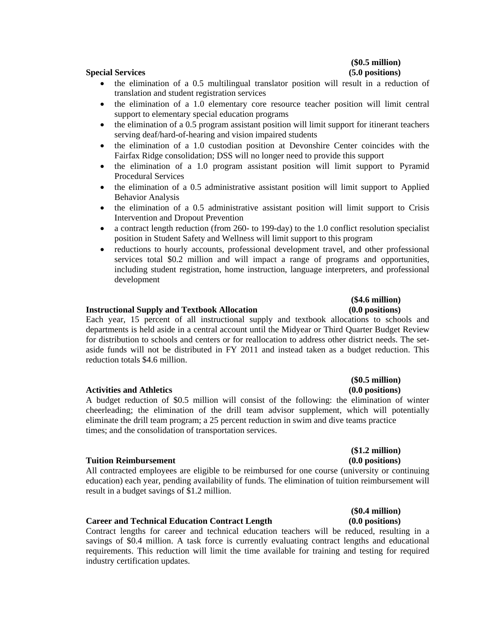# **(\$0.5 million)**

### **Special Services (5.0 positions)**

- the elimination of a 0.5 multilingual translator position will result in a reduction of translation and student registration services
- the elimination of a 1.0 elementary core resource teacher position will limit central support to elementary special education programs
- the elimination of a 0.5 program assistant position will limit support for itinerant teachers serving deaf/hard-of-hearing and vision impaired students
- the elimination of a 1.0 custodian position at Devonshire Center coincides with the Fairfax Ridge consolidation; DSS will no longer need to provide this support
- the elimination of a 1.0 program assistant position will limit support to Pyramid Procedural Services
- the elimination of a 0.5 administrative assistant position will limit support to Applied Behavior Analysis
- the elimination of a 0.5 administrative assistant position will limit support to Crisis Intervention and Dropout Prevention
- a contract length reduction (from 260- to 199-day) to the 1.0 conflict resolution specialist position in Student Safety and Wellness will limit support to this program
- reductions to hourly accounts, professional development travel, and other professional services total \$0.2 million and will impact a range of programs and opportunities, including student registration, home instruction, language interpreters, and professional development

### **Instructional Supply and Textbook Allocation (0.0 positions)**

Each year, 15 percent of all instructional supply and textbook allocations to schools and departments is held aside in a central account until the Midyear or Third Quarter Budget Review for distribution to schools and centers or for reallocation to address other district needs. The setaside funds will not be distributed in FY 2011 and instead taken as a budget reduction. This reduction totals \$4.6 million.

### **Activities and Athletics (0.0 positions)**

A budget reduction of \$0.5 million will consist of the following: the elimination of winter cheerleading; the elimination of the drill team advisor supplement, which will potentially eliminate the drill team program; a 25 percent reduction in swim and dive teams practice times; and the consolidation of transportation services.

### **Tuition Reimbursement** (0.0 positions)

All contracted employees are eligible to be reimbursed for one course (university or continuing education) each year, pending availability of funds. The elimination of tuition reimbursement will result in a budget savings of \$1.2 million.

### **Career and Technical Education Contract Length (0.0 positions)**

Contract lengths for career and technical education teachers will be reduced, resulting in a savings of \$0.4 million. A task force is currently evaluating contract lengths and educational requirements. This reduction will limit the time available for training and testing for required industry certification updates.

## **(\$1.2 million)**

## **(\$0.4 million)**

# **(\$4.6 million)**

**(\$0.5 million)**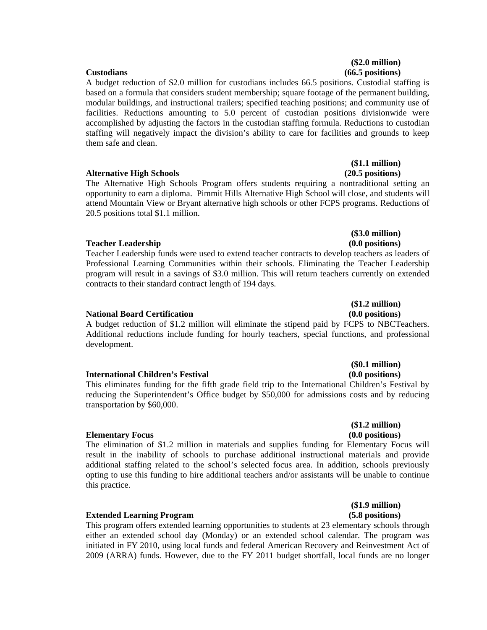A budget reduction of \$2.0 million for custodians includes 66.5 positions. Custodial staffing is based on a formula that considers student membership; square footage of the permanent building, modular buildings, and instructional trailers; specified teaching positions; and community use of facilities. Reductions amounting to 5.0 percent of custodian positions divisionwide were accomplished by adjusting the factors in the custodian staffing formula. Reductions to custodian staffing will negatively impact the division's ability to care for facilities and grounds to keep them safe and clean.

### **Alternative High Schools (20.5 positions)**

The Alternative High Schools Program offers students requiring a nontraditional setting an opportunity to earn a diploma. Pimmit Hills Alternative High School will close, and students will attend Mountain View or Bryant alternative high schools or other FCPS programs. Reductions of 20.5 positions total \$1.1 million.

### **Teacher Leadership (0.0 positions)** (0.0 positions)

Teacher Leadership funds were used to extend teacher contracts to develop teachers as leaders of Professional Learning Communities within their schools. Eliminating the Teacher Leadership program will result in a savings of \$3.0 million. This will return teachers currently on extended contracts to their standard contract length of 194 days.

### **National Board Certification (0.0 positions)**

A budget reduction of \$1.2 million will eliminate the stipend paid by FCPS to NBCTeachers. Additional reductions include funding for hourly teachers, special functions, and professional development.

### **International Children's Festival**  (0.0 positions)

This eliminates funding for the fifth grade field trip to the International Children's Festival by reducing the Superintendent's Office budget by \$50,000 for admissions costs and by reducing transportation by \$60,000.

### **Elementary Focus (0.0 positions)**

The elimination of \$1.2 million in materials and supplies funding for Elementary Focus will result in the inability of schools to purchase additional instructional materials and provide additional staffing related to the school's selected focus area. In addition, schools previously opting to use this funding to hire additional teachers and/or assistants will be unable to continue this practice.

### **Extended Learning Program (5.8 positions)**

This program offers extended learning opportunities to students at 23 elementary schools through either an extended school day (Monday) or an extended school calendar. The program was initiated in FY 2010, using local funds and federal American Recovery and Reinvestment Act of 2009 (ARRA) funds. However, due to the FY 2011 budget shortfall, local funds are no longer

### **(\$2.0 million) Custodians (66.5 positions)**

# **(\$1.1 million)**

**(\$3.0 million)** 

# **(\$1.2 million)**

# **(\$0.1 million)**

# **(\$1.2 million)**

## **(\$1.9 million)**